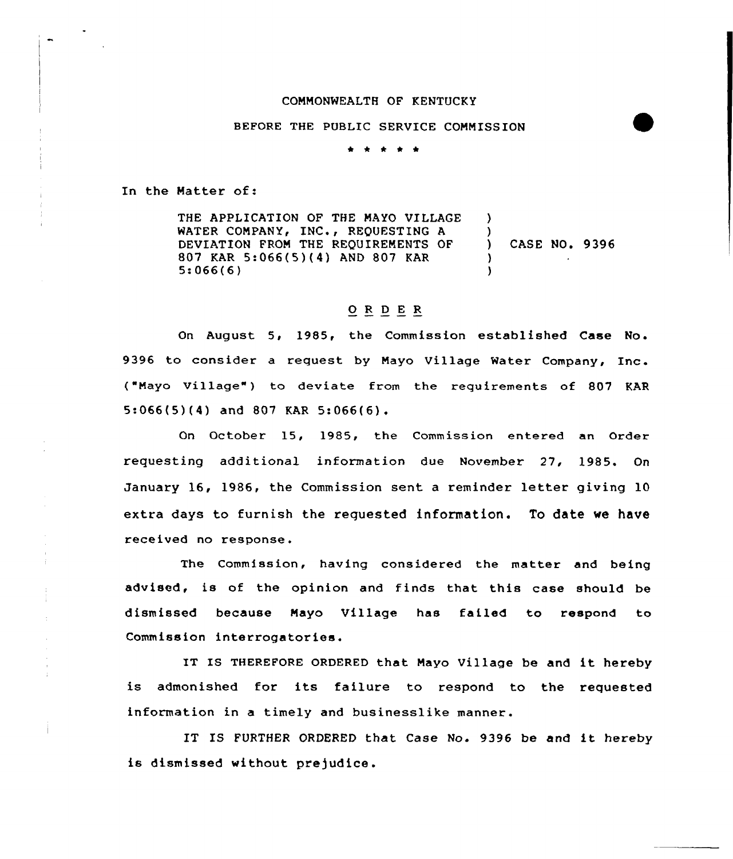#### COMMONWEALTH OF KENTUCKY

### BEFORE THE PUBLIC SERVICE COMMISSION

\* \* \* \* \*

In the Matter of:

THE APPLICATION OF THE MAYO VILLAGE WATER COMPANY, INC., REQUESTING A DEVIATION FROM THE REQUIREMENTS OF 807 KAR 5:066(5)(4) AND 807 KAR 5:066(6) ) ) ) CASE NO. 9396 ) )

## 0 <sup>R</sup> <sup>D</sup> <sup>E</sup> <sup>R</sup>

On August 5, 1985, the Commission established Case No. 9396 to consider a request by Mayo Village Water Company, Inc. ("Mayo Village") to deviate from the requirements of 807 KAR 5:066(5)(4) and 807 KAR 5:066(6).

On October 15, 1985, the Commission entered an Order requesting additional information due November 27, 1985. On January 16, 1986, the Commission sent <sup>a</sup> reminder letter giving 10 extra days to furnish the requested information. To date we have received no response.

The Commission, having considered the matter and being advised, is of the opinion and finds that this case should be dismissed because Mayo Village has failed to respond to Commission interrogatories.

IT IS THEREFORE ORDERED that Mayo Village be and it hereby is admonished for its failure to respond to the requested information in a timely and businesslike manner.

IT IS FURTHER ORDERED that Case No. 9396 be and it hereby is dismissed without prejudice.